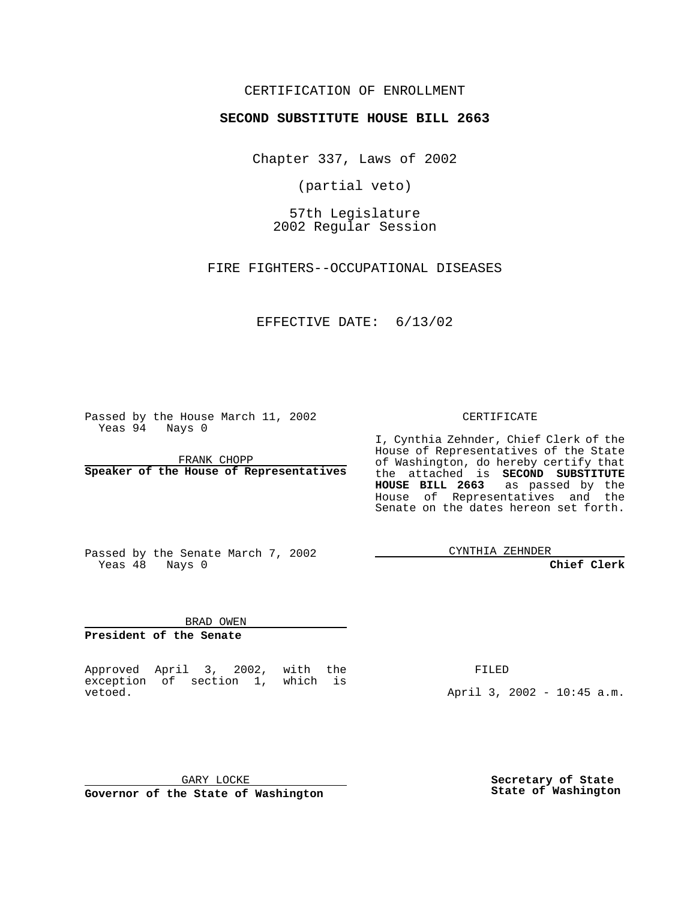### CERTIFICATION OF ENROLLMENT

# **SECOND SUBSTITUTE HOUSE BILL 2663**

Chapter 337, Laws of 2002

(partial veto)

57th Legislature 2002 Regular Session

FIRE FIGHTERS--OCCUPATIONAL DISEASES

## EFFECTIVE DATE: 6/13/02

Passed by the House March 11, 2002 Yeas 94 Nays 0

FRANK CHOPP **Speaker of the House of Representatives** CERTIFICATE

I, Cynthia Zehnder, Chief Clerk of the House of Representatives of the State of Washington, do hereby certify that the attached is **SECOND SUBSTITUTE HOUSE BILL 2663** as passed by the House of Representatives and the Senate on the dates hereon set forth.

Passed by the Senate March 7, 2002 Yeas 48 Nays 0

CYNTHIA ZEHNDER

**Chief Clerk**

BRAD OWEN **President of the Senate**

Approved April 3, 2002, with the exception of section 1, which is vetoed.

FILED

April 3, 2002 - 10:45 a.m.

GARY LOCKE **Governor of the State of Washington** **Secretary of State State of Washington**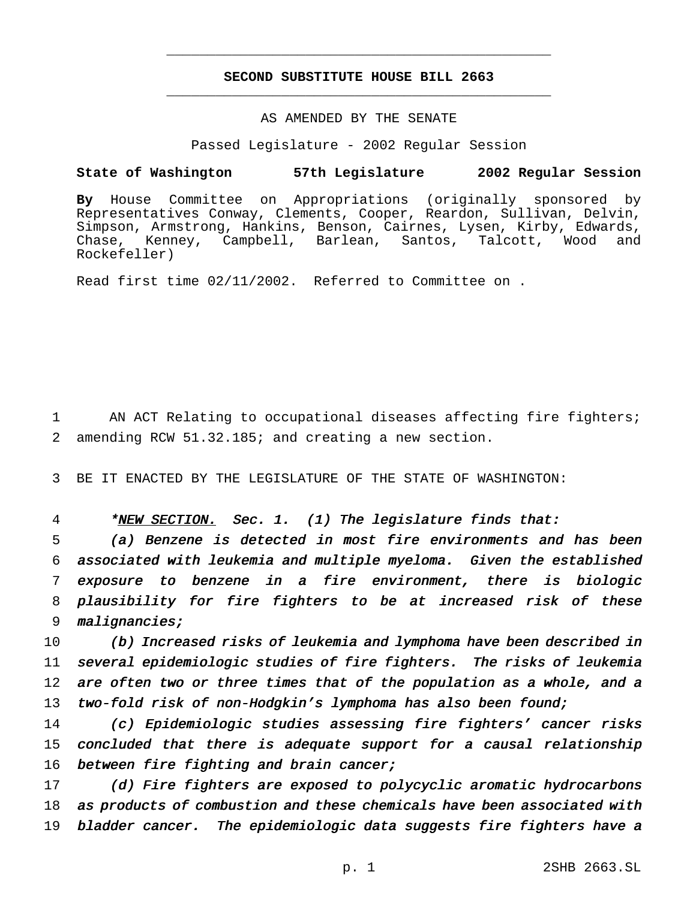## **SECOND SUBSTITUTE HOUSE BILL 2663** \_\_\_\_\_\_\_\_\_\_\_\_\_\_\_\_\_\_\_\_\_\_\_\_\_\_\_\_\_\_\_\_\_\_\_\_\_\_\_\_\_\_\_\_\_\_\_

\_\_\_\_\_\_\_\_\_\_\_\_\_\_\_\_\_\_\_\_\_\_\_\_\_\_\_\_\_\_\_\_\_\_\_\_\_\_\_\_\_\_\_\_\_\_\_

## AS AMENDED BY THE SENATE

Passed Legislature - 2002 Regular Session

#### **State of Washington 57th Legislature 2002 Regular Session**

**By** House Committee on Appropriations (originally sponsored by Representatives Conway, Clements, Cooper, Reardon, Sullivan, Delvin, Simpson, Armstrong, Hankins, Benson, Cairnes, Lysen, Kirby, Edwards, Chase, Kenney, Campbell, Barlean, Santos, Talcott, Wood and Rockefeller)

Read first time 02/11/2002. Referred to Committee on .

1 AN ACT Relating to occupational diseases affecting fire fighters; 2 amending RCW 51.32.185; and creating a new section.

3 BE IT ENACTED BY THE LEGISLATURE OF THE STATE OF WASHINGTON:

4 \*NEW SECTION. Sec. 1. (1) The legislature finds that:

 (a) Benzene is detected in most fire environments and has been associated with leukemia and multiple myeloma. Given the established exposure to benzene in <sup>a</sup> fire environment, there is biologic plausibility for fire fighters to be at increased risk of these malignancies;

10 (b) Increased risks of leukemia and lymphoma have been described in 11 several epidemiologic studies of fire fighters. The risks of leukemia 12 are often two or three times that of the population as a whole, and a 13 two-fold risk of non-Hodgkin's lymphoma has also been found;

14 (c) Epidemiologic studies assessing fire fighters' cancer risks 15 concluded that there is adequate support for <sup>a</sup> causal relationship 16 between fire fighting and brain cancer;

17 (d) Fire fighters are exposed to polycyclic aromatic hydrocarbons 18 as products of combustion and these chemicals have been associated with 19 bladder cancer. The epidemiologic data suggests fire fighters have <sup>a</sup>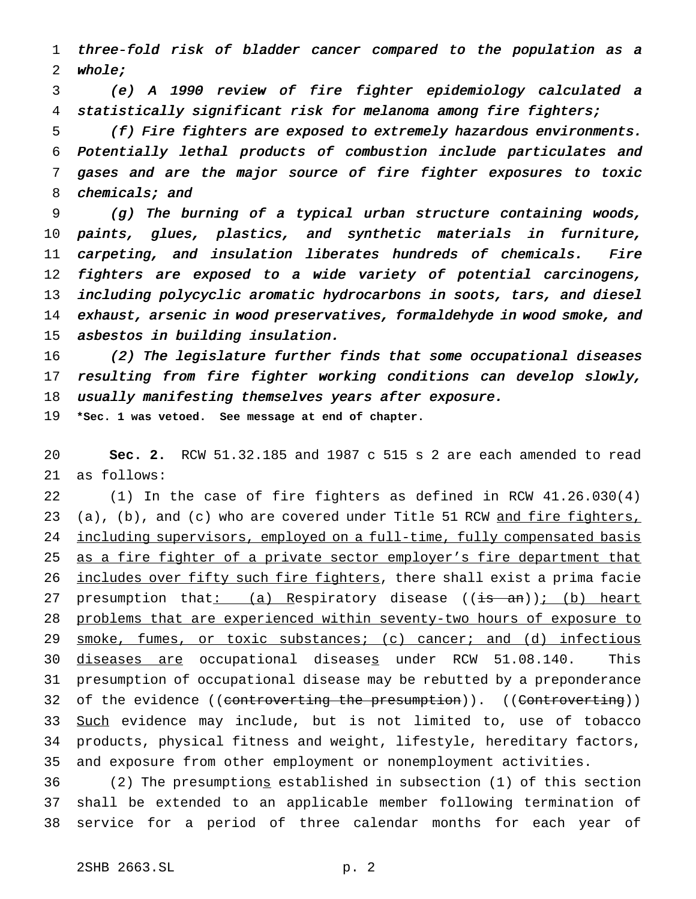three-fold risk of bladder cancer compared to the population as <sup>a</sup> whole;

 (e) <sup>A</sup> <sup>1990</sup> review of fire fighter epidemiology calculated <sup>a</sup> statistically significant risk for melanoma among fire fighters;

 (f) Fire fighters are exposed to extremely hazardous environments. Potentially lethal products of combustion include particulates and gases and are the major source of fire fighter exposures to toxic 8 chemicals; and

 (g) The burning of <sup>a</sup> typical urban structure containing woods, paints, glues, plastics, and synthetic materials in furniture, carpeting, and insulation liberates hundreds of chemicals. Fire fighters are exposed to <sup>a</sup> wide variety of potential carcinogens, including polycyclic aromatic hydrocarbons in soots, tars, and diesel exhaust, arsenic in wood preservatives, formaldehyde in wood smoke, and asbestos in building insulation.

 (2) The legislature further finds that some occupational diseases resulting from fire fighter working conditions can develop slowly, 18 usually manifesting themselves years after exposure.

**\*Sec. 1 was vetoed. See message at end of chapter.**

 **Sec. 2.** RCW 51.32.185 and 1987 c 515 s 2 are each amended to read as follows:

 (1) In the case of fire fighters as defined in RCW 41.26.030(4) 23 (a), (b), and (c) who are covered under Title 51 RCW and fire fighters, 24 including supervisors, employed on a full-time, fully compensated basis as a fire fighter of a private sector employer's fire department that 26 includes over fifty such fire fighters, there shall exist a prima facie 27 presumption that:  $(a)$  Respiratory disease  $((is - an))$ ; (b) heart problems that are experienced within seventy-two hours of exposure to 29 smoke, fumes, or toxic substances; (c) cancer; and (d) infectious 30 diseases are occupational diseases under RCW 51.08.140. This presumption of occupational disease may be rebutted by a preponderance 32 of the evidence ((controverting the presumption)). ((Controverting)) 33 Such evidence may include, but is not limited to, use of tobacco products, physical fitness and weight, lifestyle, hereditary factors, and exposure from other employment or nonemployment activities.

 (2) The presumptions established in subsection (1) of this section shall be extended to an applicable member following termination of service for a period of three calendar months for each year of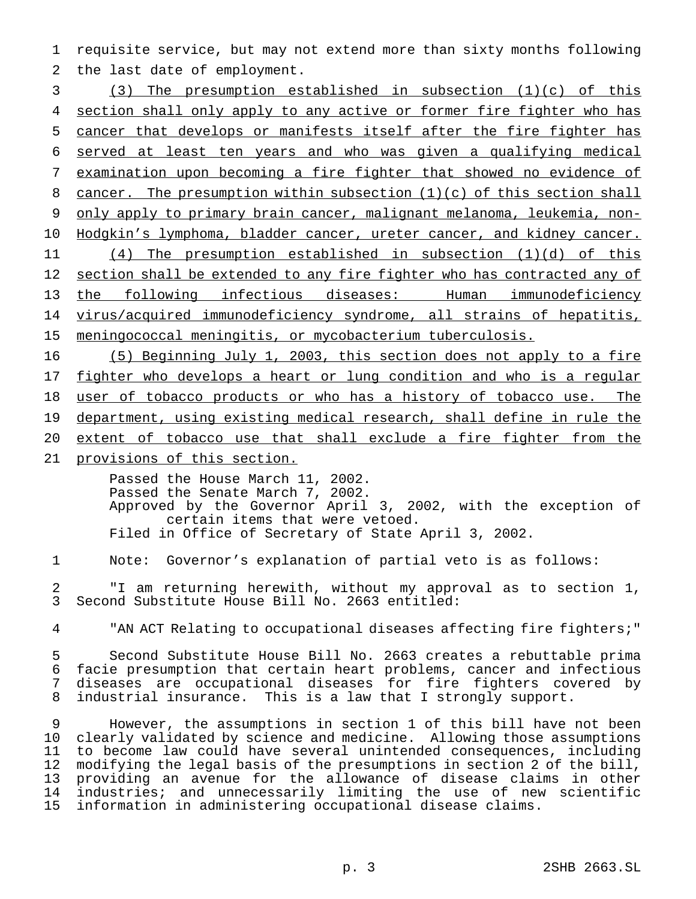1 requisite service, but may not extend more than sixty months following 2 the last date of employment.

 (3) The presumption established in subsection (1)(c) of this 4 section shall only apply to any active or former fire fighter who has cancer that develops or manifests itself after the fire fighter has served at least ten years and who was given a qualifying medical examination upon becoming a fire fighter that showed no evidence of 8 cancer. The presumption within subsection (1)(c) of this section shall 9 only apply to primary brain cancer, malignant melanoma, leukemia, non-10 Hodgkin's lymphoma, bladder cancer, ureter cancer, and kidney cancer. (4) The presumption established in subsection (1)(d) of this 12 section shall be extended to any fire fighter who has contracted any of the following infectious diseases: Human immunodeficiency virus/acquired immunodeficiency syndrome, all strains of hepatitis, meningococcal meningitis, or mycobacterium tuberculosis.

16 (5) Beginning July 1, 2003, this section does not apply to a fire 17 fighter who develops a heart or lung condition and who is a regular 18 user of tobacco products or who has a history of tobacco use. The 19 department, using existing medical research, shall define in rule the 20 extent of tobacco use that shall exclude a fire fighter from the

21 provisions of this section.

Passed the House March 11, 2002. Passed the Senate March 7, 2002. Approved by the Governor April 3, 2002, with the exception of certain items that were vetoed. Filed in Office of Secretary of State April 3, 2002.

1 Note: Governor's explanation of partial veto is as follows:

2 "I am returning herewith, without my approval as to section 1, 3 Second Substitute House Bill No. 2663 entitled:

4 "AN ACT Relating to occupational diseases affecting fire fighters;"

 Second Substitute House Bill No. 2663 creates a rebuttable prima facie presumption that certain heart problems, cancer and infectious diseases are occupational diseases for fire fighters covered by industrial insurance. This is a law that I strongly support.

 However, the assumptions in section 1 of this bill have not been clearly validated by science and medicine. Allowing those assumptions to become law could have several unintended consequences, including modifying the legal basis of the presumptions in section 2 of the bill, 13 providing an avenue for the allowance of disease claims in other<br>14 industries; and unnecessarily limiting the use of new scientific industries; and unnecessarily limiting the use of new scientific information in administering occupational disease claims.